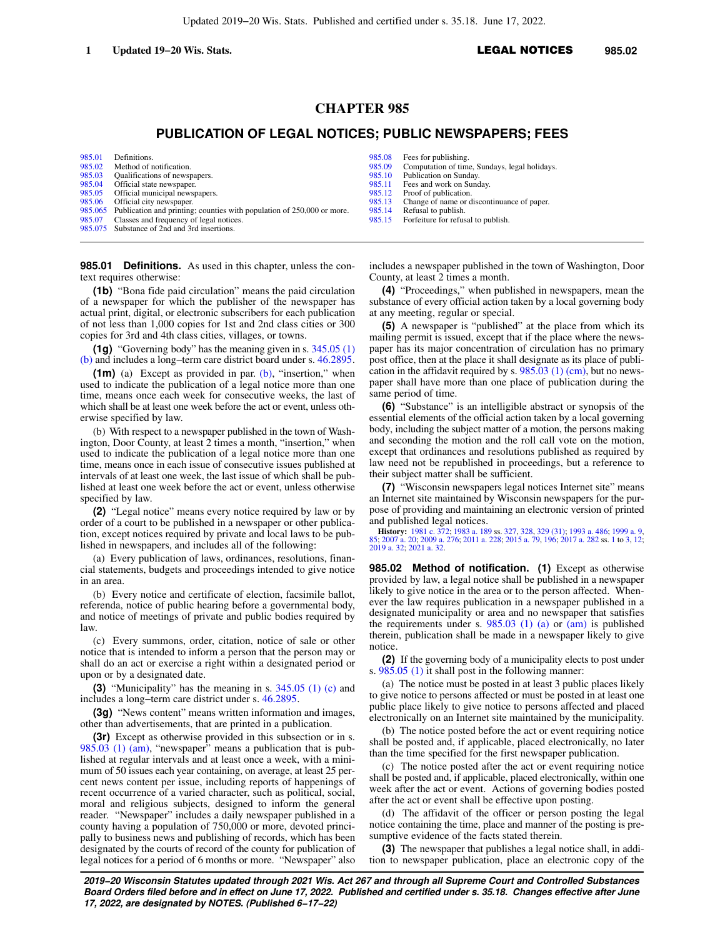# **CHAPTER 985**

## **PUBLICATION OF LEGAL NOTICES; PUBLIC NEWSPAPERS; FEES**

[985.01](https://docs.legis.wisconsin.gov/document/statutes/985.01) Definitions.<br>985.02 Method of t [985.02](https://docs.legis.wisconsin.gov/document/statutes/985.02) Method of notification.<br>985.03 Oualifications of news [985.03](https://docs.legis.wisconsin.gov/document/statutes/985.03) Qualifications of newspapers.<br>985.04 Official state newspaper. [985.04](https://docs.legis.wisconsin.gov/document/statutes/985.04) Official state newspaper.<br>985.05 Official municipal news [985.05](https://docs.legis.wisconsin.gov/document/statutes/985.05) Official municipal newspapers.<br>985.06 Official city newspaper. [985.06](https://docs.legis.wisconsin.gov/document/statutes/985.06) Official city newspaper.<br>985.065 Publication and printing Publication and printing; counties with population of 250,000 or more. [985.07](https://docs.legis.wisconsin.gov/document/statutes/985.07) Classes and frequency of legal notices. [985.075](https://docs.legis.wisconsin.gov/document/statutes/985.075) Substance of 2nd and 3rd insertions.

- [985.08](https://docs.legis.wisconsin.gov/document/statutes/985.08) Fees for publishing.<br>985.09 Computation of time
- [985.09](https://docs.legis.wisconsin.gov/document/statutes/985.09) Computation of time, Sundays, legal holidays.<br>985.10 Publication on Sunday.
- [985.10](https://docs.legis.wisconsin.gov/document/statutes/985.10) Publication on Sunday.<br>985.11 Fees and work on Sun
- [985.11](https://docs.legis.wisconsin.gov/document/statutes/985.11) Fees and work on Sunday.<br>985.12 Proof of publication.
- [985.12](https://docs.legis.wisconsin.gov/document/statutes/985.12) Proof of publication.<br>985.13 Change of name or c Change of name or discontinuance of paper.
- [985.14](https://docs.legis.wisconsin.gov/document/statutes/985.14) Refusal to publish.
- [985.15](https://docs.legis.wisconsin.gov/document/statutes/985.15) Forfeiture for refusal to publish.

**985.01 Definitions.** As used in this chapter, unless the context requires otherwise:

**(1b)** "Bona fide paid circulation" means the paid circulation of a newspaper for which the publisher of the newspaper has actual print, digital, or electronic subscribers for each publication of not less than 1,000 copies for 1st and 2nd class cities or 300 copies for 3rd and 4th class cities, villages, or towns.

**(1g)** "Governing body" has the meaning given in s. [345.05 \(1\)](https://docs.legis.wisconsin.gov/document/statutes/345.05(1)(b)) [\(b\)](https://docs.legis.wisconsin.gov/document/statutes/345.05(1)(b)) and includes a long−term care district board under s. [46.2895.](https://docs.legis.wisconsin.gov/document/statutes/46.2895)

**(1m)** (a) Except as provided in par. [\(b\),](https://docs.legis.wisconsin.gov/document/statutes/985.01(1m)(b)) "insertion," when used to indicate the publication of a legal notice more than one time, means once each week for consecutive weeks, the last of which shall be at least one week before the act or event, unless otherwise specified by law.

(b) With respect to a newspaper published in the town of Washington, Door County, at least 2 times a month, "insertion," when used to indicate the publication of a legal notice more than one time, means once in each issue of consecutive issues published at intervals of at least one week, the last issue of which shall be published at least one week before the act or event, unless otherwise specified by law.

**(2)** "Legal notice" means every notice required by law or by order of a court to be published in a newspaper or other publication, except notices required by private and local laws to be published in newspapers, and includes all of the following:

(a) Every publication of laws, ordinances, resolutions, financial statements, budgets and proceedings intended to give notice in an area.

(b) Every notice and certificate of election, facsimile ballot, referenda, notice of public hearing before a governmental body, and notice of meetings of private and public bodies required by law.

(c) Every summons, order, citation, notice of sale or other notice that is intended to inform a person that the person may or shall do an act or exercise a right within a designated period or upon or by a designated date.

**(3)** "Municipality" has the meaning in s. [345.05 \(1\) \(c\)](https://docs.legis.wisconsin.gov/document/statutes/345.05(1)(c)) and includes a long−term care district under s. [46.2895](https://docs.legis.wisconsin.gov/document/statutes/46.2895).

**(3g)** "News content" means written information and images, other than advertisements, that are printed in a publication.

**(3r)** Except as otherwise provided in this subsection or in s. [985.03 \(1\) \(am\)](https://docs.legis.wisconsin.gov/document/statutes/985.03(1)(am)), "newspaper" means a publication that is published at regular intervals and at least once a week, with a minimum of 50 issues each year containing, on average, at least 25 percent news content per issue, including reports of happenings of recent occurrence of a varied character, such as political, social, moral and religious subjects, designed to inform the general reader. "Newspaper" includes a daily newspaper published in a county having a population of 750,000 or more, devoted principally to business news and publishing of records, which has been designated by the courts of record of the county for publication of legal notices for a period of 6 months or more. "Newspaper" also

includes a newspaper published in the town of Washington, Door County, at least 2 times a month.

**(4)** "Proceedings," when published in newspapers, mean the substance of every official action taken by a local governing body at any meeting, regular or special.

**(5)** A newspaper is "published" at the place from which its mailing permit is issued, except that if the place where the newspaper has its major concentration of circulation has no primary post office, then at the place it shall designate as its place of publication in the affidavit required by s.  $985.03$  (1) (cm), but no newspaper shall have more than one place of publication during the same period of time.

**(6)** "Substance" is an intelligible abstract or synopsis of the essential elements of the official action taken by a local governing body, including the subject matter of a motion, the persons making and seconding the motion and the roll call vote on the motion, except that ordinances and resolutions published as required by law need not be republished in proceedings, but a reference to their subject matter shall be sufficient.

**(7)** "Wisconsin newspapers legal notices Internet site" means an Internet site maintained by Wisconsin newspapers for the purpose of providing and maintaining an electronic version of printed and published legal notices.

**History:** [1981 c. 372;](https://docs.legis.wisconsin.gov/document/acts/1981/372) [1983 a. 189](https://docs.legis.wisconsin.gov/document/acts/1983/189) ss. [327](https://docs.legis.wisconsin.gov/document/acts/1983/189,%20s.%20327), [328](https://docs.legis.wisconsin.gov/document/acts/1983/189,%20s.%20328), [329 \(31\)](https://docs.legis.wisconsin.gov/document/acts/1983/189,%20s.%20329); [1993 a. 486](https://docs.legis.wisconsin.gov/document/acts/1993/486); [1999 a. 9](https://docs.legis.wisconsin.gov/document/acts/1999/9), [85](https://docs.legis.wisconsin.gov/document/acts/1999/85); [2007 a. 20;](https://docs.legis.wisconsin.gov/document/acts/2007/20) [2009 a. 276;](https://docs.legis.wisconsin.gov/document/acts/2009/276) [2011 a. 228;](https://docs.legis.wisconsin.gov/document/acts/2011/228) [2015 a. 79](https://docs.legis.wisconsin.gov/document/acts/2015/79), [196;](https://docs.legis.wisconsin.gov/document/acts/2015/196) [2017 a. 282](https://docs.legis.wisconsin.gov/document/acts/2017/282) ss. [1](https://docs.legis.wisconsin.gov/document/acts/2017/282,%20s.%201) to [3](https://docs.legis.wisconsin.gov/document/acts/2017/282,%20s.%203), [12](https://docs.legis.wisconsin.gov/document/acts/2017/282,%20s.%2012); [2019 a. 32](https://docs.legis.wisconsin.gov/document/acts/2019/32); [2021 a. 32.](https://docs.legis.wisconsin.gov/document/acts/2021/32)

**985.02 Method of notification. (1)** Except as otherwise provided by law, a legal notice shall be published in a newspaper likely to give notice in the area or to the person affected. Whenever the law requires publication in a newspaper published in a designated municipality or area and no newspaper that satisfies the requirements under s.  $985.03$  (1) (a) or  $(am)$  is published therein, publication shall be made in a newspaper likely to give notice.

**(2)** If the governing body of a municipality elects to post under s. [985.05 \(1\)](https://docs.legis.wisconsin.gov/document/statutes/985.05(1)) it shall post in the following manner:

(a) The notice must be posted in at least 3 public places likely to give notice to persons affected or must be posted in at least one public place likely to give notice to persons affected and placed electronically on an Internet site maintained by the municipality.

(b) The notice posted before the act or event requiring notice shall be posted and, if applicable, placed electronically, no later than the time specified for the first newspaper publication.

(c) The notice posted after the act or event requiring notice shall be posted and, if applicable, placed electronically, within one week after the act or event. Actions of governing bodies posted after the act or event shall be effective upon posting.

(d) The affidavit of the officer or person posting the legal notice containing the time, place and manner of the posting is presumptive evidence of the facts stated therein.

**(3)** The newspaper that publishes a legal notice shall, in addition to newspaper publication, place an electronic copy of the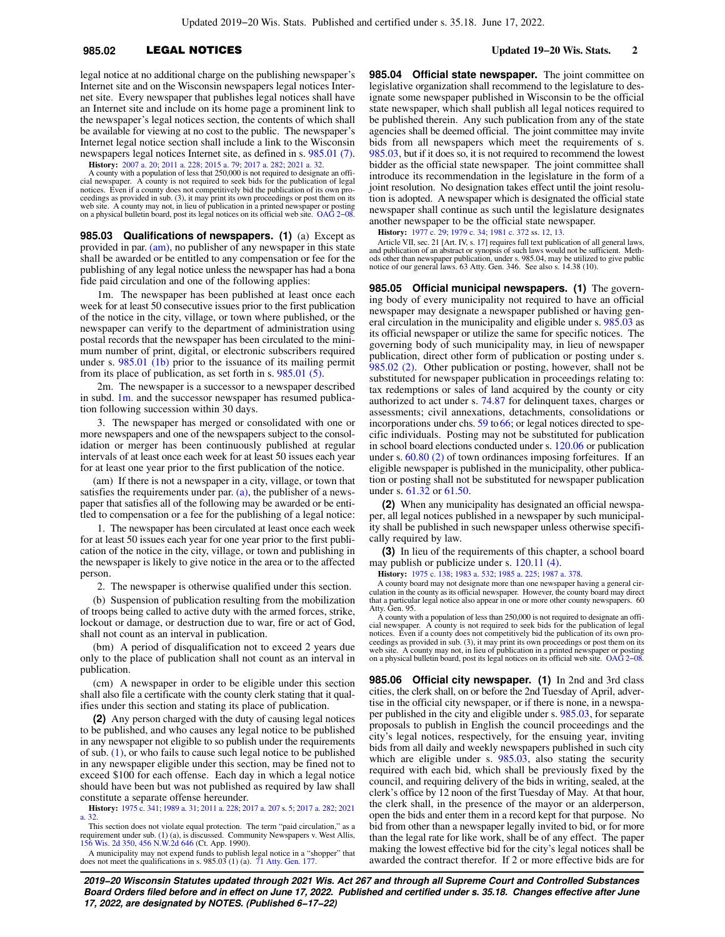### **985.02** LEGAL NOTICES **Updated 19−20 Wis. Stats. 2**

legal notice at no additional charge on the publishing newspaper's Internet site and on the Wisconsin newspapers legal notices Internet site. Every newspaper that publishes legal notices shall have an Internet site and include on its home page a prominent link to the newspaper's legal notices section, the contents of which shall be available for viewing at no cost to the public. The newspaper's Internet legal notice section shall include a link to the Wisconsin newspapers legal notices Internet site, as defined in s. [985.01 \(7\).](https://docs.legis.wisconsin.gov/document/statutes/985.01(7))

**History:** [2007 a. 20;](https://docs.legis.wisconsin.gov/document/acts/2007/20) [2011 a. 228](https://docs.legis.wisconsin.gov/document/acts/2011/228); [2015 a. 79](https://docs.legis.wisconsin.gov/document/acts/2015/79); [2017 a. 282](https://docs.legis.wisconsin.gov/document/acts/2017/282); [2021 a. 32](https://docs.legis.wisconsin.gov/document/acts/2021/32). A county with a population of less that 250,000 is not required to designate an official newspaper. A county is not required to seek bids for the publication of legal notices. Even if a county does not competitively bid the publication of its own proceedings as provided in sub. (3), it may print its own proceedings or post them on its web site. A county may not, in lieu of publication in a printed newspaper or posting on a physical bulletin board, post its legal notices on its official web site. [OAG 2−08](https://docs.legis.wisconsin.gov/document/oag/oag2-08).

**985.03 Qualifications of newspapers. (1)** (a) Except as provided in par. [\(am\)](https://docs.legis.wisconsin.gov/document/statutes/985.03(1)(am)), no publisher of any newspaper in this state shall be awarded or be entitled to any compensation or fee for the publishing of any legal notice unless the newspaper has had a bona fide paid circulation and one of the following applies:

1m. The newspaper has been published at least once each week for at least 50 consecutive issues prior to the first publication of the notice in the city, village, or town where published, or the newspaper can verify to the department of administration using postal records that the newspaper has been circulated to the minimum number of print, digital, or electronic subscribers required under s. [985.01 \(1b\)](https://docs.legis.wisconsin.gov/document/statutes/985.01(1b)) prior to the issuance of its mailing permit from its place of publication, as set forth in s. [985.01 \(5\).](https://docs.legis.wisconsin.gov/document/statutes/985.01(5))

2m. The newspaper is a successor to a newspaper described in subd.  $1m$  and the successor newspaper has resumed publication following succession within 30 days.

3. The newspaper has merged or consolidated with one or more newspapers and one of the newspapers subject to the consolidation or merger has been continuously published at regular intervals of at least once each week for at least 50 issues each year for at least one year prior to the first publication of the notice.

(am) If there is not a newspaper in a city, village, or town that satisfies the requirements under par.  $(a)$ , the publisher of a newspaper that satisfies all of the following may be awarded or be entitled to compensation or a fee for the publishing of a legal notice:

1. The newspaper has been circulated at least once each week for at least 50 issues each year for one year prior to the first publication of the notice in the city, village, or town and publishing in the newspaper is likely to give notice in the area or to the affected person.

2. The newspaper is otherwise qualified under this section.

(b) Suspension of publication resulting from the mobilization of troops being called to active duty with the armed forces, strike, lockout or damage, or destruction due to war, fire or act of God, shall not count as an interval in publication.

(bm) A period of disqualification not to exceed 2 years due only to the place of publication shall not count as an interval in publication.

(cm) A newspaper in order to be eligible under this section shall also file a certificate with the county clerk stating that it qualifies under this section and stating its place of publication.

**(2)** Any person charged with the duty of causing legal notices to be published, and who causes any legal notice to be published in any newspaper not eligible to so publish under the requirements of sub. [\(1\)](https://docs.legis.wisconsin.gov/document/statutes/985.03(1)), or who fails to cause such legal notice to be published in any newspaper eligible under this section, may be fined not to exceed \$100 for each offense. Each day in which a legal notice should have been but was not published as required by law shall constitute a separate offense hereunder.

**History:** [1975 c. 341;](https://docs.legis.wisconsin.gov/document/acts/1975/341) [1989 a. 31](https://docs.legis.wisconsin.gov/document/acts/1989/31); [2011 a. 228](https://docs.legis.wisconsin.gov/document/acts/2011/228); [2017 a. 207](https://docs.legis.wisconsin.gov/document/acts/2017/207) s. [5](https://docs.legis.wisconsin.gov/document/acts/2017/207,%20s.%205); [2017 a. 282;](https://docs.legis.wisconsin.gov/document/acts/2017/282) [2021](https://docs.legis.wisconsin.gov/document/acts/2021/32) [a. 32](https://docs.legis.wisconsin.gov/document/acts/2021/32).

This section does not violate equal protection. The term "paid circulation," as a requirement under sub. (1) (a), is discussed. Community Newspapers v. West Allis, [156 Wis. 2d 350,](https://docs.legis.wisconsin.gov/document/courts/156%20Wis.%202d%20350) [456 N.W.2d 646](https://docs.legis.wisconsin.gov/document/courts/456%20N.W.2d%20646) (Ct. App. 1990).

A municipality may not expend funds to publish legal notice in a "shopper" that does not meet the qualifications in s. 985.03 (1) (a). [71 Atty. Gen. 177](https://docs.legis.wisconsin.gov/document/oag/vol71-177).

**985.04 Official state newspaper.** The joint committee on legislative organization shall recommend to the legislature to designate some newspaper published in Wisconsin to be the official state newspaper, which shall publish all legal notices required to be published therein. Any such publication from any of the state agencies shall be deemed official. The joint committee may invite bids from all newspapers which meet the requirements of s. [985.03,](https://docs.legis.wisconsin.gov/document/statutes/985.03) but if it does so, it is not required to recommend the lowest bidder as the official state newspaper. The joint committee shall introduce its recommendation in the legislature in the form of a joint resolution. No designation takes effect until the joint resolution is adopted. A newspaper which is designated the official state newspaper shall continue as such until the legislature designates another newspaper to be the official state newspaper.

**History:** [1977 c. 29](https://docs.legis.wisconsin.gov/document/acts/1977/29); [1979 c. 34](https://docs.legis.wisconsin.gov/document/acts/1979/34); [1981 c. 372](https://docs.legis.wisconsin.gov/document/acts/1981/372) ss. [12,](https://docs.legis.wisconsin.gov/document/acts/1981/372,%20s.%2012) [13](https://docs.legis.wisconsin.gov/document/acts/1981/372,%20s.%2013).

Article VII, sec. 21 [Art. IV, s. 17] requires full text publication of all general laws, and publication of an abstract or synopsis of such laws would not be sufficient. Methods other than newspaper publication, under s. 985.04, may be utilized to give public notice of our general laws. 63 Atty. Gen. 346. See also s. 14.38 (10).

**985.05 Official municipal newspapers. (1)** The governing body of every municipality not required to have an official newspaper may designate a newspaper published or having general circulation in the municipality and eligible under s. [985.03](https://docs.legis.wisconsin.gov/document/statutes/985.03) as its official newspaper or utilize the same for specific notices. The governing body of such municipality may, in lieu of newspaper publication, direct other form of publication or posting under s. [985.02 \(2\)](https://docs.legis.wisconsin.gov/document/statutes/985.02(2)). Other publication or posting, however, shall not be substituted for newspaper publication in proceedings relating to: tax redemptions or sales of land acquired by the county or city authorized to act under s. [74.87](https://docs.legis.wisconsin.gov/document/statutes/74.87) for delinquent taxes, charges or assessments; civil annexations, detachments, consolidations or incorporations under chs.  $59$  to  $66$ ; or legal notices directed to specific individuals. Posting may not be substituted for publication in school board elections conducted under s. [120.06](https://docs.legis.wisconsin.gov/document/statutes/120.06) or publication under s. [60.80 \(2\)](https://docs.legis.wisconsin.gov/document/statutes/60.80(2)) of town ordinances imposing forfeitures. If an eligible newspaper is published in the municipality, other publication or posting shall not be substituted for newspaper publication under s. [61.32](https://docs.legis.wisconsin.gov/document/statutes/61.32) or [61.50.](https://docs.legis.wisconsin.gov/document/statutes/61.50)

**(2)** When any municipality has designated an official newspaper, all legal notices published in a newspaper by such municipality shall be published in such newspaper unless otherwise specifically required by law.

**(3)** In lieu of the requirements of this chapter, a school board may publish or publicize under s. [120.11 \(4\)](https://docs.legis.wisconsin.gov/document/statutes/120.11(4)).

**History:** [1975 c. 138;](https://docs.legis.wisconsin.gov/document/acts/1975/138) [1983 a. 532](https://docs.legis.wisconsin.gov/document/acts/1983/532); [1985 a. 225;](https://docs.legis.wisconsin.gov/document/acts/1985/225) [1987 a. 378.](https://docs.legis.wisconsin.gov/document/acts/1987/378)

A county board may not designate more than one newspaper having a general cir-culation in the county as its official newspaper. However, the county board may direct that a particular legal notice also appear in one or more other county newspapers. 60 Atty. Gen. 95.

A county with a population of less than 250,000 is not required to designate an official newspaper. A county is not required to seek bids for the publication of legal notices. Even if a county does not competitively bid the publication of its own proceedings as provided in sub. (3), it may print its own proceedings or post them on its<br>web site. A county may not, in lieu of publication in a printed newspaper or posting<br>on a physical bulletin board, post its legal notic

**985.06 Official city newspaper. (1)** In 2nd and 3rd class cities, the clerk shall, on or before the 2nd Tuesday of April, advertise in the official city newspaper, or if there is none, in a newspaper published in the city and eligible under s. [985.03](https://docs.legis.wisconsin.gov/document/statutes/985.03), for separate proposals to publish in English the council proceedings and the city's legal notices, respectively, for the ensuing year, inviting bids from all daily and weekly newspapers published in such city which are eligible under s. [985.03,](https://docs.legis.wisconsin.gov/document/statutes/985.03) also stating the security required with each bid, which shall be previously fixed by the council, and requiring delivery of the bids in writing, sealed, at the clerk's office by 12 noon of the first Tuesday of May. At that hour, the clerk shall, in the presence of the mayor or an alderperson, open the bids and enter them in a record kept for that purpose. No bid from other than a newspaper legally invited to bid, or for more than the legal rate for like work, shall be of any effect. The paper making the lowest effective bid for the city's legal notices shall be awarded the contract therefor. If 2 or more effective bids are for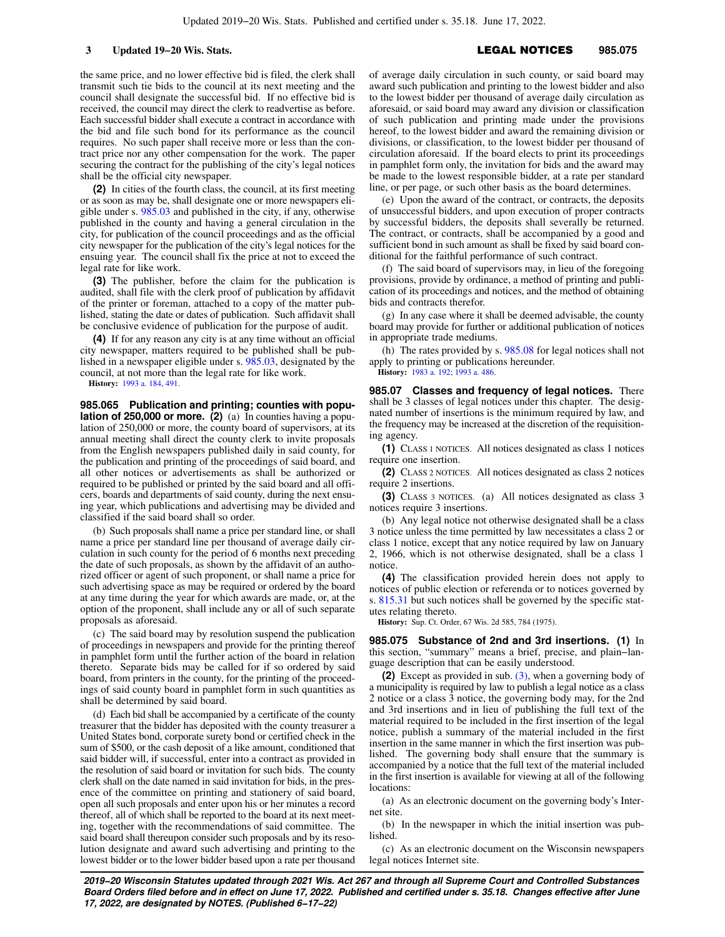**3 Updated 19−20 Wis. Stats.** LEGAL NOTICES 985.075

the same price, and no lower effective bid is filed, the clerk shall transmit such tie bids to the council at its next meeting and the council shall designate the successful bid. If no effective bid is received, the council may direct the clerk to readvertise as before. Each successful bidder shall execute a contract in accordance with the bid and file such bond for its performance as the council requires. No such paper shall receive more or less than the contract price nor any other compensation for the work. The paper securing the contract for the publishing of the city's legal notices shall be the official city newspaper.

**(2)** In cities of the fourth class, the council, at its first meeting or as soon as may be, shall designate one or more newspapers eligible under s. [985.03](https://docs.legis.wisconsin.gov/document/statutes/985.03) and published in the city, if any, otherwise published in the county and having a general circulation in the city, for publication of the council proceedings and as the official city newspaper for the publication of the city's legal notices for the ensuing year. The council shall fix the price at not to exceed the legal rate for like work.

**(3)** The publisher, before the claim for the publication is audited, shall file with the clerk proof of publication by affidavit of the printer or foreman, attached to a copy of the matter published, stating the date or dates of publication. Such affidavit shall be conclusive evidence of publication for the purpose of audit.

**(4)** If for any reason any city is at any time without an official city newspaper, matters required to be published shall be published in a newspaper eligible under s. [985.03,](https://docs.legis.wisconsin.gov/document/statutes/985.03) designated by the council, at not more than the legal rate for like work.

**History:** [1993 a. 184](https://docs.legis.wisconsin.gov/document/acts/1993/184), [491](https://docs.legis.wisconsin.gov/document/acts/1993/491).

**985.065 Publication and printing; counties with population of 250,000 or more.** (2) (a) In counties having a population of 250,000 or more, the county board of supervisors, at its annual meeting shall direct the county clerk to invite proposals from the English newspapers published daily in said county, for the publication and printing of the proceedings of said board, and all other notices or advertisements as shall be authorized or required to be published or printed by the said board and all officers, boards and departments of said county, during the next ensuing year, which publications and advertising may be divided and classified if the said board shall so order.

(b) Such proposals shall name a price per standard line, or shall name a price per standard line per thousand of average daily circulation in such county for the period of 6 months next preceding the date of such proposals, as shown by the affidavit of an authorized officer or agent of such proponent, or shall name a price for such advertising space as may be required or ordered by the board at any time during the year for which awards are made, or, at the option of the proponent, shall include any or all of such separate proposals as aforesaid.

(c) The said board may by resolution suspend the publication of proceedings in newspapers and provide for the printing thereof in pamphlet form until the further action of the board in relation thereto. Separate bids may be called for if so ordered by said board, from printers in the county, for the printing of the proceedings of said county board in pamphlet form in such quantities as shall be determined by said board.

(d) Each bid shall be accompanied by a certificate of the county treasurer that the bidder has deposited with the county treasurer a United States bond, corporate surety bond or certified check in the sum of \$500, or the cash deposit of a like amount, conditioned that said bidder will, if successful, enter into a contract as provided in the resolution of said board or invitation for such bids. The county clerk shall on the date named in said invitation for bids, in the presence of the committee on printing and stationery of said board, open all such proposals and enter upon his or her minutes a record thereof, all of which shall be reported to the board at its next meeting, together with the recommendations of said committee. The said board shall thereupon consider such proposals and by its resolution designate and award such advertising and printing to the lowest bidder or to the lower bidder based upon a rate per thousand

of average daily circulation in such county, or said board may award such publication and printing to the lowest bidder and also to the lowest bidder per thousand of average daily circulation as aforesaid, or said board may award any division or classification of such publication and printing made under the provisions hereof, to the lowest bidder and award the remaining division or divisions, or classification, to the lowest bidder per thousand of circulation aforesaid. If the board elects to print its proceedings in pamphlet form only, the invitation for bids and the award may be made to the lowest responsible bidder, at a rate per standard line, or per page, or such other basis as the board determines.

(e) Upon the award of the contract, or contracts, the deposits of unsuccessful bidders, and upon execution of proper contracts by successful bidders, the deposits shall severally be returned. The contract, or contracts, shall be accompanied by a good and sufficient bond in such amount as shall be fixed by said board conditional for the faithful performance of such contract.

(f) The said board of supervisors may, in lieu of the foregoing provisions, provide by ordinance, a method of printing and publication of its proceedings and notices, and the method of obtaining bids and contracts therefor.

(g) In any case where it shall be deemed advisable, the county board may provide for further or additional publication of notices in appropriate trade mediums.

(h) The rates provided by s. [985.08](https://docs.legis.wisconsin.gov/document/statutes/985.08) for legal notices shall not apply to printing or publications hereunder.

**History:** [1983 a. 192;](https://docs.legis.wisconsin.gov/document/acts/1983/192) [1993 a. 486](https://docs.legis.wisconsin.gov/document/acts/1993/486).

**985.07 Classes and frequency of legal notices.** There shall be 3 classes of legal notices under this chapter. The designated number of insertions is the minimum required by law, and the frequency may be increased at the discretion of the requisitioning agency.

**(1)** CLASS 1 NOTICES. All notices designated as class 1 notices require one insertion.

**(2)** CLASS 2 NOTICES. All notices designated as class 2 notices require 2 insertions.

**(3)** CLASS 3 NOTICES. (a) All notices designated as class 3 notices require 3 insertions.

(b) Any legal notice not otherwise designated shall be a class 3 notice unless the time permitted by law necessitates a class 2 or class 1 notice, except that any notice required by law on January 2, 1966, which is not otherwise designated, shall be a class 1 notice.

**(4)** The classification provided herein does not apply to notices of public election or referenda or to notices governed by s. [815.31](https://docs.legis.wisconsin.gov/document/statutes/815.31) but such notices shall be governed by the specific statutes relating thereto.

**History:** Sup. Ct. Order, 67 Wis. 2d 585, 784 (1975).

**985.075 Substance of 2nd and 3rd insertions. (1)** In this section, "summary" means a brief, precise, and plain−language description that can be easily understood.

**(2)** Except as provided in sub. [\(3\),](https://docs.legis.wisconsin.gov/document/statutes/985.075(3)) when a governing body of a municipality is required by law to publish a legal notice as a class 2 notice or a class 3 notice, the governing body may, for the 2nd and 3rd insertions and in lieu of publishing the full text of the material required to be included in the first insertion of the legal notice, publish a summary of the material included in the first insertion in the same manner in which the first insertion was published. The governing body shall ensure that the summary is accompanied by a notice that the full text of the material included in the first insertion is available for viewing at all of the following locations:

(a) As an electronic document on the governing body's Internet site.

(b) In the newspaper in which the initial insertion was published.

(c) As an electronic document on the Wisconsin newspapers legal notices Internet site.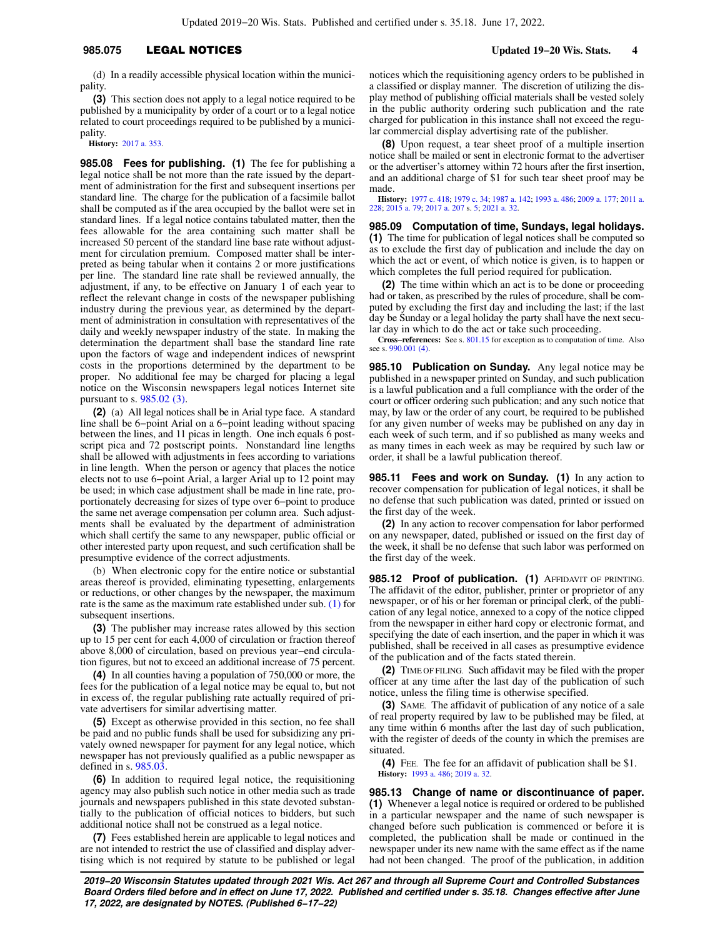### **985.075** LEGAL NOTICES **Updated 19−20 Wis. Stats. 4**

(d) In a readily accessible physical location within the municipality.

**(3)** This section does not apply to a legal notice required to be published by a municipality by order of a court or to a legal notice related to court proceedings required to be published by a municipality.

**History:** [2017 a. 353](https://docs.legis.wisconsin.gov/document/acts/2017/353).

**985.08 Fees for publishing. (1)** The fee for publishing a legal notice shall be not more than the rate issued by the department of administration for the first and subsequent insertions per standard line. The charge for the publication of a facsimile ballot shall be computed as if the area occupied by the ballot were set in standard lines. If a legal notice contains tabulated matter, then the fees allowable for the area containing such matter shall be increased 50 percent of the standard line base rate without adjustment for circulation premium. Composed matter shall be interpreted as being tabular when it contains 2 or more justifications per line. The standard line rate shall be reviewed annually, the adjustment, if any, to be effective on January 1 of each year to reflect the relevant change in costs of the newspaper publishing industry during the previous year, as determined by the department of administration in consultation with representatives of the daily and weekly newspaper industry of the state. In making the determination the department shall base the standard line rate upon the factors of wage and independent indices of newsprint costs in the proportions determined by the department to be proper. No additional fee may be charged for placing a legal notice on the Wisconsin newspapers legal notices Internet site pursuant to s. [985.02 \(3\)](https://docs.legis.wisconsin.gov/document/statutes/985.02(3)).

**(2)** (a) All legal notices shall be in Arial type face. A standard line shall be 6−point Arial on a 6−point leading without spacing between the lines, and 11 picas in length. One inch equals 6 postscript pica and 72 postscript points. Nonstandard line lengths shall be allowed with adjustments in fees according to variations in line length. When the person or agency that places the notice elects not to use 6−point Arial, a larger Arial up to 12 point may be used; in which case adjustment shall be made in line rate, proportionately decreasing for sizes of type over 6−point to produce the same net average compensation per column area. Such adjustments shall be evaluated by the department of administration which shall certify the same to any newspaper, public official or other interested party upon request, and such certification shall be presumptive evidence of the correct adjustments.

(b) When electronic copy for the entire notice or substantial areas thereof is provided, eliminating typesetting, enlargements or reductions, or other changes by the newspaper, the maximum rate is the same as the maximum rate established under sub. [\(1\)](https://docs.legis.wisconsin.gov/document/statutes/985.08(1)) for subsequent insertions.

**(3)** The publisher may increase rates allowed by this section up to 15 per cent for each 4,000 of circulation or fraction thereof above 8,000 of circulation, based on previous year−end circulation figures, but not to exceed an additional increase of 75 percent.

**(4)** In all counties having a population of 750,000 or more, the fees for the publication of a legal notice may be equal to, but not in excess of, the regular publishing rate actually required of private advertisers for similar advertising matter.

**(5)** Except as otherwise provided in this section, no fee shall be paid and no public funds shall be used for subsidizing any privately owned newspaper for payment for any legal notice, which newspaper has not previously qualified as a public newspaper as defined in s. [985.03](https://docs.legis.wisconsin.gov/document/statutes/985.03).

**(6)** In addition to required legal notice, the requisitioning agency may also publish such notice in other media such as trade journals and newspapers published in this state devoted substantially to the publication of official notices to bidders, but such additional notice shall not be construed as a legal notice.

**(7)** Fees established herein are applicable to legal notices and are not intended to restrict the use of classified and display advertising which is not required by statute to be published or legal notices which the requisitioning agency orders to be published in a classified or display manner. The discretion of utilizing the display method of publishing official materials shall be vested solely in the public authority ordering such publication and the rate charged for publication in this instance shall not exceed the regular commercial display advertising rate of the publisher.

**(8)** Upon request, a tear sheet proof of a multiple insertion notice shall be mailed or sent in electronic format to the advertiser or the advertiser's attorney within 72 hours after the first insertion, and an additional charge of \$1 for such tear sheet proof may be made.

**History:** [1977 c. 418;](https://docs.legis.wisconsin.gov/document/acts/1977/418) [1979 c. 34](https://docs.legis.wisconsin.gov/document/acts/1979/34); [1987 a. 142](https://docs.legis.wisconsin.gov/document/acts/1987/142); [1993 a. 486](https://docs.legis.wisconsin.gov/document/acts/1993/486); [2009 a. 177;](https://docs.legis.wisconsin.gov/document/acts/2009/177) [2011 a.](https://docs.legis.wisconsin.gov/document/acts/2011/228) [228;](https://docs.legis.wisconsin.gov/document/acts/2011/228) [2015 a. 79;](https://docs.legis.wisconsin.gov/document/acts/2015/79) [2017 a. 207](https://docs.legis.wisconsin.gov/document/acts/2017/207) s. [5;](https://docs.legis.wisconsin.gov/document/acts/2017/207,%20s.%205) [2021 a. 32](https://docs.legis.wisconsin.gov/document/acts/2021/32).

**985.09 Computation of time, Sundays, legal holidays. (1)** The time for publication of legal notices shall be computed so as to exclude the first day of publication and include the day on which the act or event, of which notice is given, is to happen or which completes the full period required for publication.

**(2)** The time within which an act is to be done or proceeding had or taken, as prescribed by the rules of procedure, shall be computed by excluding the first day and including the last; if the last day be Sunday or a legal holiday the party shall have the next secular day in which to do the act or take such proceeding.

**Cross−references:** See s. [801.15](https://docs.legis.wisconsin.gov/document/statutes/801.15) for exception as to computation of time. Also see s. [990.001 \(4\).](https://docs.legis.wisconsin.gov/document/statutes/990.001(4))

**985.10 Publication on Sunday.** Any legal notice may be published in a newspaper printed on Sunday, and such publication is a lawful publication and a full compliance with the order of the court or officer ordering such publication; and any such notice that may, by law or the order of any court, be required to be published for any given number of weeks may be published on any day in each week of such term, and if so published as many weeks and as many times in each week as may be required by such law or order, it shall be a lawful publication thereof.

**985.11 Fees and work on Sunday. (1)** In any action to recover compensation for publication of legal notices, it shall be no defense that such publication was dated, printed or issued on the first day of the week.

**(2)** In any action to recover compensation for labor performed on any newspaper, dated, published or issued on the first day of the week, it shall be no defense that such labor was performed on the first day of the week.

985.12 Proof of publication. (1) AFFIDAVIT OF PRINTING. The affidavit of the editor, publisher, printer or proprietor of any newspaper, or of his or her foreman or principal clerk, of the publication of any legal notice, annexed to a copy of the notice clipped from the newspaper in either hard copy or electronic format, and specifying the date of each insertion, and the paper in which it was published, shall be received in all cases as presumptive evidence of the publication and of the facts stated therein.

**(2)** TIME OF FILING. Such affidavit may be filed with the proper officer at any time after the last day of the publication of such notice, unless the filing time is otherwise specified.

**(3)** SAME. The affidavit of publication of any notice of a sale of real property required by law to be published may be filed, at any time within 6 months after the last day of such publication, with the register of deeds of the county in which the premises are situated.

**(4)** FEE. The fee for an affidavit of publication shall be \$1. **History:** [1993 a. 486;](https://docs.legis.wisconsin.gov/document/acts/1993/486) [2019 a. 32.](https://docs.legis.wisconsin.gov/document/acts/2019/32)

**985.13 Change of name or discontinuance of paper. (1)** Whenever a legal notice is required or ordered to be published in a particular newspaper and the name of such newspaper is changed before such publication is commenced or before it is completed, the publication shall be made or continued in the newspaper under its new name with the same effect as if the name had not been changed. The proof of the publication, in addition